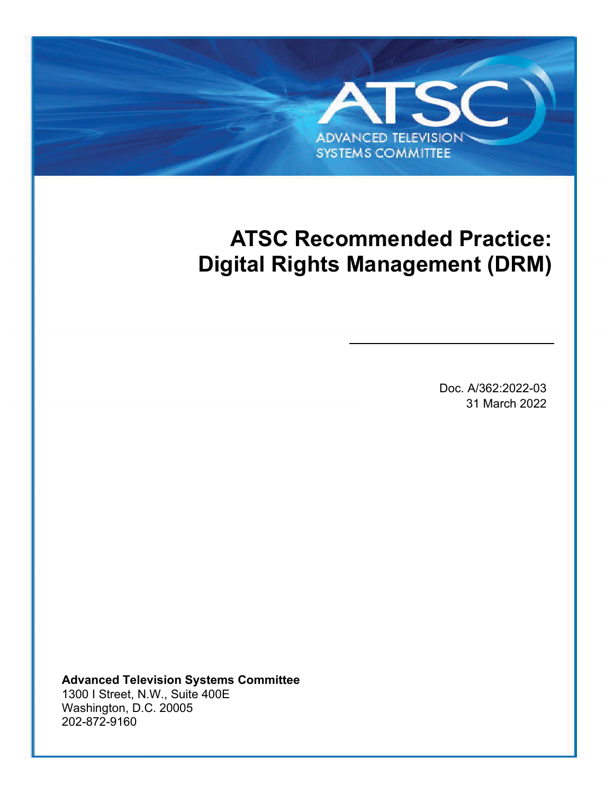# **ADVANCED TELEVISION SYSTEMS COMMITTEE**

ATSC A/362:2022-03 Digital Rights Management (DRM) 31 March 2022

## **ATSC Recommended Practice: Digital Rights Management (DRM)**

Doc. A/362:2022-03 31 March 2022

**Advanced Television Systems Committee** 1300 I Street, N.W., Suite 400E Washington, D.C. 20005 202-872-9160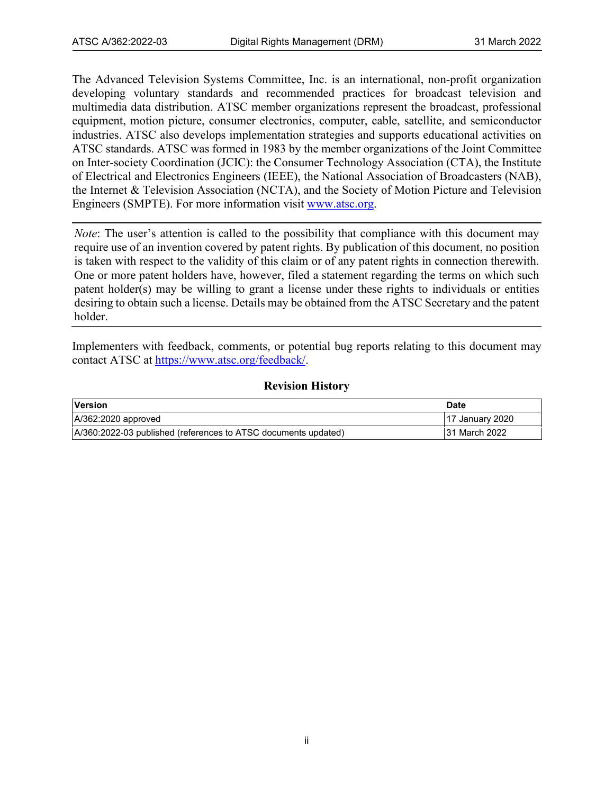The Advanced Television Systems Committee, Inc. is an international, non-profit organization developing voluntary standards and recommended practices for broadcast television and multimedia data distribution. ATSC member organizations represent the broadcast, professional equipment, motion picture, consumer electronics, computer, cable, satellite, and semiconductor industries. ATSC also develops implementation strategies and supports educational activities on ATSC standards. ATSC was formed in 1983 by the member organizations of the Joint Committee on Inter-society Coordination (JCIC): the Consumer Technology Association (CTA), the Institute of Electrical and Electronics Engineers (IEEE), the National Association of Broadcasters (NAB), the Internet & Television Association (NCTA), and the Society of Motion Picture and Television Engineers (SMPTE). For more information visit [www.atsc.org.](http://www.atsc.org/)

*Note*: The user's attention is called to the possibility that compliance with this document may require use of an invention covered by patent rights. By publication of this document, no position is taken with respect to the validity of this claim or of any patent rights in connection therewith. One or more patent holders have, however, filed a statement regarding the terms on which such patent holder(s) may be willing to grant a license under these rights to individuals or entities desiring to obtain such a license. Details may be obtained from the ATSC Secretary and the patent holder.

Implementers with feedback, comments, or potential bug reports relating to this document may contact ATSC at [https://www.atsc.org/feedback/.](https://www.atsc.org/feedback/)

#### **Revision History**

| <b>Version</b>                                                 | <b>Date</b>     |
|----------------------------------------------------------------|-----------------|
| $A/362:2020$ approved                                          | 17 January 2020 |
| A/360:2022-03 published (references to ATSC documents updated) | 31 March 2022   |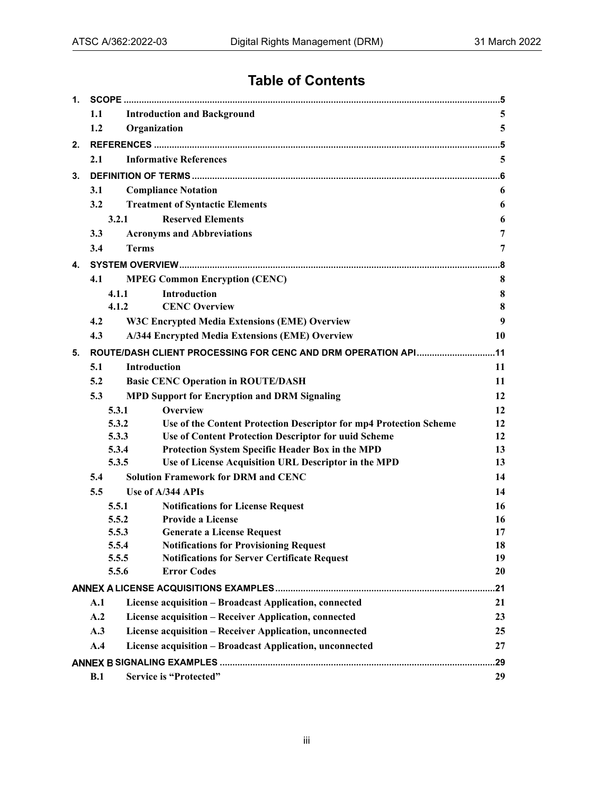## **Table of Contents**

| 1. |                                               |                                                                                                                        |          |  |  |  |
|----|-----------------------------------------------|------------------------------------------------------------------------------------------------------------------------|----------|--|--|--|
|    | 1.1<br><b>Introduction and Background</b>     |                                                                                                                        |          |  |  |  |
|    | 1.2                                           | Organization                                                                                                           | 5        |  |  |  |
| 2. |                                               |                                                                                                                        |          |  |  |  |
|    | <b>Informative References</b><br>2.1          |                                                                                                                        |          |  |  |  |
| 3. |                                               |                                                                                                                        |          |  |  |  |
|    | 3.1<br><b>Compliance Notation</b>             |                                                                                                                        | 6        |  |  |  |
|    | 3.2<br><b>Treatment of Syntactic Elements</b> |                                                                                                                        | 6        |  |  |  |
|    | <b>Reserved Elements</b><br>3.2.1             |                                                                                                                        |          |  |  |  |
|    | 3.3                                           | <b>Acronyms and Abbreviations</b>                                                                                      | 7        |  |  |  |
|    | 3.4                                           | <b>Terms</b>                                                                                                           | 7        |  |  |  |
| 4. |                                               |                                                                                                                        | 8        |  |  |  |
|    | 4.1                                           | <b>MPEG Common Encryption (CENC)</b>                                                                                   | 8        |  |  |  |
|    |                                               | Introduction<br>4.1.1                                                                                                  | 8        |  |  |  |
|    |                                               | <b>CENC Overview</b><br>4.1.2                                                                                          | 8        |  |  |  |
|    | 4.2                                           | <b>W3C Encrypted Media Extensions (EME) Overview</b>                                                                   | 9        |  |  |  |
|    | 4.3                                           | A/344 Encrypted Media Extensions (EME) Overview                                                                        | 10       |  |  |  |
| 5. |                                               | ROUTE/DASH CLIENT PROCESSING FOR CENC AND DRM OPERATION API11                                                          |          |  |  |  |
|    | 5.1                                           | <b>Introduction</b>                                                                                                    | 11       |  |  |  |
|    | 5.2                                           | <b>Basic CENC Operation in ROUTE/DASH</b>                                                                              | 11       |  |  |  |
|    | 5.3                                           | <b>MPD Support for Encryption and DRM Signaling</b>                                                                    | 12       |  |  |  |
|    |                                               | Overview<br>5.3.1                                                                                                      | 12       |  |  |  |
|    |                                               | 5.3.2<br>Use of the Content Protection Descriptor for mp4 Protection Scheme                                            | 12       |  |  |  |
|    |                                               | 5.3.3<br>Use of Content Protection Descriptor for uuid Scheme                                                          | 12       |  |  |  |
|    |                                               | 5.3.4<br>Protection System Specific Header Box in the MPD                                                              | 13       |  |  |  |
|    |                                               | Use of License Acquisition URL Descriptor in the MPD<br>5.3.5                                                          | 13       |  |  |  |
|    | 5.4                                           | <b>Solution Framework for DRM and CENC</b>                                                                             | 14       |  |  |  |
|    | 5.5                                           | Use of A/344 APIs                                                                                                      | 14       |  |  |  |
|    |                                               | 5.5.1<br><b>Notifications for License Request</b>                                                                      | 16       |  |  |  |
|    |                                               | <b>Provide a License</b><br>5.5.2                                                                                      | 16       |  |  |  |
|    |                                               | <b>Generate a License Request</b><br>5.5.3                                                                             | 17<br>18 |  |  |  |
|    |                                               | <b>Notifications for Provisioning Request</b><br>5.5.4<br><b>Notifications for Server Certificate Request</b><br>5.5.5 | 19       |  |  |  |
|    |                                               | 5.5.6<br><b>Error Codes</b>                                                                                            | 20       |  |  |  |
|    |                                               |                                                                                                                        | 21       |  |  |  |
|    | A.1                                           | License acquisition - Broadcast Application, connected                                                                 | 21       |  |  |  |
|    | A.2                                           | License acquisition - Receiver Application, connected                                                                  | 23       |  |  |  |
|    | A.3                                           | License acquisition - Receiver Application, unconnected                                                                | 25       |  |  |  |
|    | A.4                                           | License acquisition - Broadcast Application, unconnected                                                               | 27       |  |  |  |
|    | .29                                           |                                                                                                                        |          |  |  |  |
|    | B.1                                           | <b>Service is "Protected"</b>                                                                                          | 29       |  |  |  |
|    |                                               |                                                                                                                        |          |  |  |  |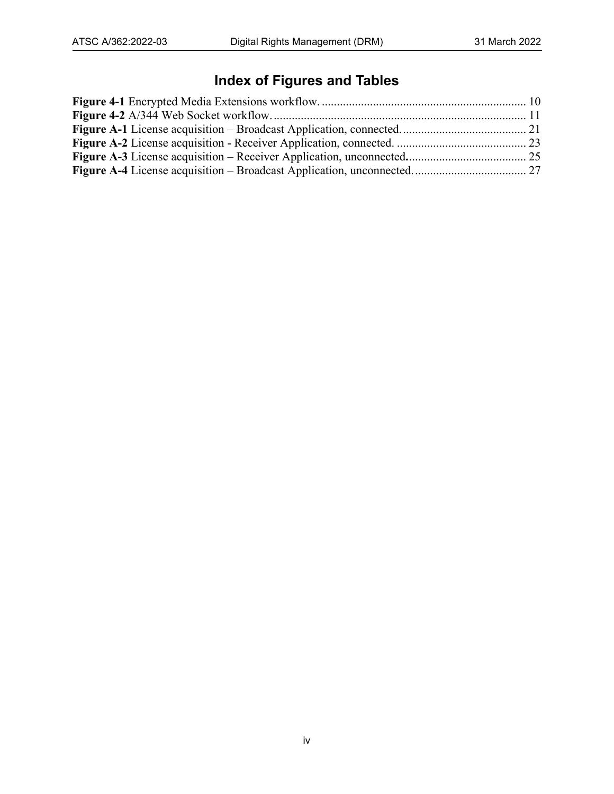## **Index of Figures and Tables**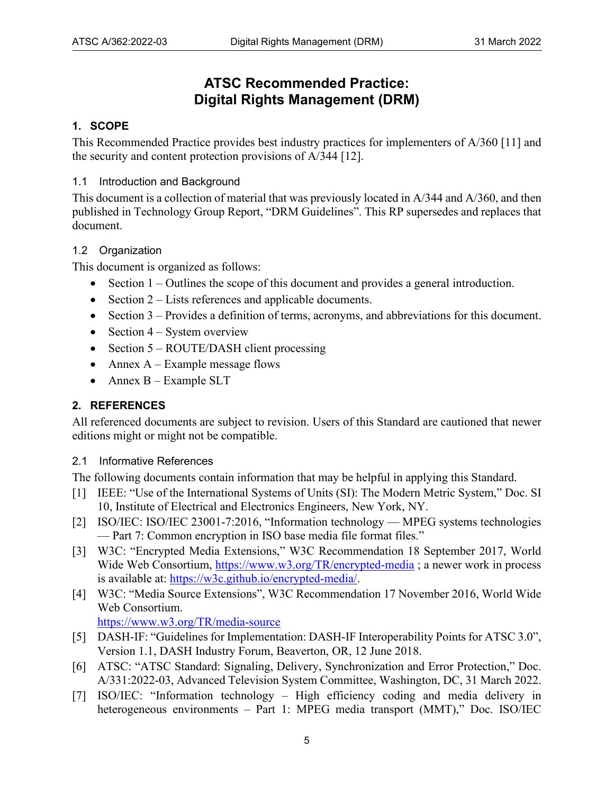### **ATSC Recommended Practice: Digital Rights Management (DRM)**

#### <span id="page-4-0"></span>**1. SCOPE**

This Recommended Practice provides best industry practices for implementers of A/360 [\[11\]](#page-5-4) and the security and content protection provisions of A/344 [\[12\].](#page-5-5)

#### <span id="page-4-1"></span>1.1 Introduction and Background

This document is a collection of material that was previously located in A/344 and A/360, and then published in Technology Group Report, "DRM Guidelines". This RP supersedes and replaces that document.

#### <span id="page-4-2"></span>1.2 Organization

This document is organized as follows:

- Section [1](#page-4-0)  Outlines the scope of this document and provides a general introduction.
- Section [2](#page-4-3)  Lists references and applicable documents.
- Section [3](#page-5-0)  Provides a definition of terms, acronyms, and abbreviations for this document.
- Section  $4 System$  overview
- Section [5](#page-10-0)  ROUTE/DASH client processing
- Annex  $A Example$  message flows
- <span id="page-4-5"></span>• Annex  $B - Example SLT$

#### <span id="page-4-3"></span>**2. REFERENCES**

All referenced documents are subject to revision. Users of this Standard are cautioned that newer editions might or might not be compatible.

#### <span id="page-4-4"></span>2.1 Informative References

The following documents contain information that may be helpful in applying this Standard.

- [1] IEEE: "Use of the International Systems of Units (SI): The Modern Metric System," Doc. SI 10, Institute of Electrical and Electronics Engineers, New York, NY.
- <span id="page-4-11"></span><span id="page-4-8"></span>[2] ISO/IEC: ISO/IEC 23001-7:2016, "Information technology — MPEG systems technologies — Part 7: Common encryption in ISO base media file format files."
- <span id="page-4-9"></span>[3] W3C: "Encrypted Media Extensions," W3C Recommendation 18 September 2017, World Wide Web Consortium, <https://www.w3.org/TR/encrypted-media>; a newer work in process is available at: [https://w3c.github.io/encrypted-media/.](https://w3c.github.io/encrypted-media/)
- [4] W3C: "Media Source Extensions", W3C Recommendation 17 November 2016, World Wide Web Consortium.

<span id="page-4-12"></span><span id="page-4-10"></span><https://www.w3.org/TR/media-source>

- <span id="page-4-7"></span>[5] DASH-IF: "Guidelines for Implementation: DASH-IF Interoperability Points for ATSC 3.0", Version 1.1, DASH Industry Forum, Beaverton, OR, 12 June 2018.
- <span id="page-4-6"></span>[6] ATSC: "ATSC Standard: Signaling, Delivery, Synchronization and Error Protection," Doc. A/331:2022-03, Advanced Television System Committee, Washington, DC, 31 March 2022.
- [7] ISO/IEC: "Information technology High efficiency coding and media delivery in heterogeneous environments – Part 1: MPEG media transport (MMT)," Doc. ISO/IEC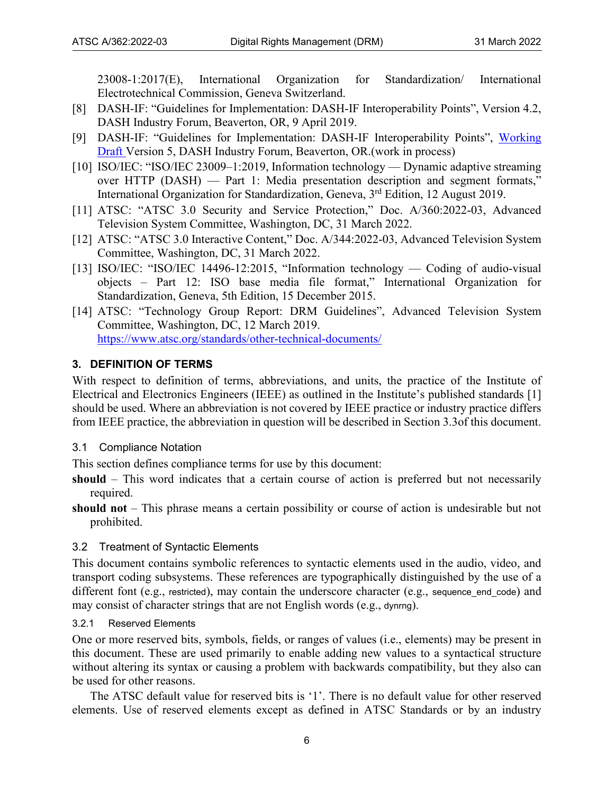23008-1:2017(E), International Organization for Standardization/ International Electrotechnical Commission, Geneva Switzerland.

- <span id="page-5-6"></span>[8] DASH-IF: "Guidelines for Implementation: DASH-IF Interoperability Points", Version 4.2, DASH Industry Forum, Beaverton, OR, 9 April 2019.
- <span id="page-5-8"></span>[9] DASH-IF: "Guidelines for Implementation: DASH-IF Interoperability Points", [Working](https://dashif-documents.azurewebsites.net/DASH-IF-IOP/master/DASH-IF-IOP.html)  [Draft](https://dashif-documents.azurewebsites.net/DASH-IF-IOP/master/DASH-IF-IOP.html) Version 5, DASH Industry Forum, Beaverton, OR.(work in process)
- <span id="page-5-7"></span>[10] ISO/IEC: "ISO/IEC 23009–1:2019, Information technology — Dynamic adaptive streaming over HTTP (DASH) — Part 1: Media presentation description and segment formats," International Organization for Standardization, Geneva, 3<sup>rd</sup> Edition, 12 August 2019.
- <span id="page-5-4"></span>[11] ATSC: "ATSC 3.0 Security and Service Protection," Doc. A/360:2022-03, Advanced Television System Committee, Washington, DC, 31 March 2022.
- <span id="page-5-5"></span>[12] ATSC: "ATSC 3.0 Interactive Content," Doc. A/344:2022-03, Advanced Television System Committee, Washington, DC, 31 March 2022.
- <span id="page-5-9"></span>[13] ISO/IEC: "ISO/IEC 14496-12:2015, "Information technology — Coding of audio-visual objects – Part 12: ISO base media file format," International Organization for Standardization, Geneva, 5th Edition, 15 December 2015.
- [14] ATSC: "Technology Group Report: DRM Guidelines", Advanced Television System Committee, Washington, DC, 12 March 2019. <https://www.atsc.org/standards/other-technical-documents/>

#### <span id="page-5-0"></span>**3. DEFINITION OF TERMS**

With respect to definition of terms, abbreviations, and units, the practice of the Institute of Electrical and Electronics Engineers (IEEE) as outlined in the Institute's published standards [\[1\]](#page-4-5) should be used. Where an abbreviation is not covered by IEEE practice or industry practice differs from IEEE practice, the abbreviation in question will be described in Section [3.3o](#page-6-0)f this document.

<span id="page-5-1"></span>3.1 Compliance Notation

This section defines compliance terms for use by this document:

- **should** This word indicates that a certain course of action is preferred but not necessarily required.
- **should not** This phrase means a certain possibility or course of action is undesirable but not prohibited.

#### <span id="page-5-2"></span>3.2 Treatment of Syntactic Elements

This document contains symbolic references to syntactic elements used in the audio, video, and transport coding subsystems. These references are typographically distinguished by the use of a different font (e.g., restricted), may contain the underscore character (e.g., sequence end code) and may consist of character strings that are not English words (e.g., dynrng).

#### <span id="page-5-3"></span>3.2.1 Reserved Elements

One or more reserved bits, symbols, fields, or ranges of values (i.e., elements) may be present in this document. These are used primarily to enable adding new values to a syntactical structure without altering its syntax or causing a problem with backwards compatibility, but they also can be used for other reasons.

The ATSC default value for reserved bits is '1'. There is no default value for other reserved elements. Use of reserved elements except as defined in ATSC Standards or by an industry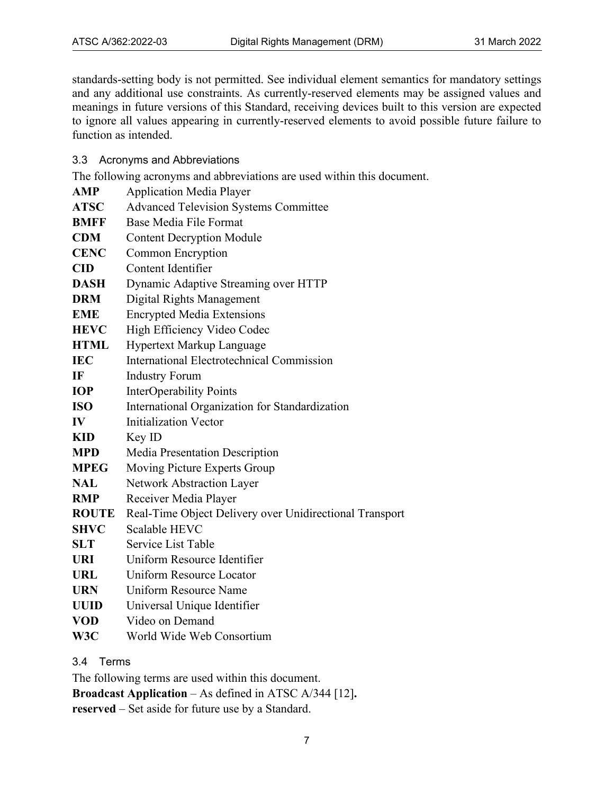standards-setting body is not permitted. See individual element semantics for mandatory settings and any additional use constraints. As currently-reserved elements may be assigned values and meanings in future versions of this Standard, receiving devices built to this version are expected to ignore all values appearing in currently-reserved elements to avoid possible future failure to function as intended.

<span id="page-6-0"></span>3.3 Acronyms and Abbreviations

The following acronyms and abbreviations are used within this document.

| <b>AMP</b>             | <b>Application Media Player</b>                         |
|------------------------|---------------------------------------------------------|
| <b>ATSC</b>            | <b>Advanced Television Systems Committee</b>            |
| <b>BMFF</b>            | Base Media File Format                                  |
| <b>CDM</b>             | <b>Content Decryption Module</b>                        |
| <b>CENC</b>            | <b>Common Encryption</b>                                |
| $\overline{\text{CD}}$ | Content Identifier                                      |
| <b>DASH</b>            | Dynamic Adaptive Streaming over HTTP                    |
| <b>DRM</b>             | Digital Rights Management                               |
| <b>EME</b>             | <b>Encrypted Media Extensions</b>                       |
| <b>HEVC</b>            | High Efficiency Video Codec                             |
| <b>HTML</b>            | Hypertext Markup Language                               |
| <b>IEC</b>             | <b>International Electrotechnical Commission</b>        |
| IF                     | <b>Industry Forum</b>                                   |
| <b>IOP</b>             | <b>InterOperability Points</b>                          |
| <b>ISO</b>             | International Organization for Standardization          |
| IV                     | <b>Initialization Vector</b>                            |
| <b>KID</b>             | Key ID                                                  |
| <b>MPD</b>             | Media Presentation Description                          |
| <b>MPEG</b>            | Moving Picture Experts Group                            |
| <b>NAL</b>             | Network Abstraction Layer                               |
| <b>RMP</b>             | Receiver Media Player                                   |
| <b>ROUTE</b>           | Real-Time Object Delivery over Unidirectional Transport |
| <b>SHVC</b>            | Scalable HEVC                                           |
| <b>SLT</b>             | Service List Table                                      |
| <b>URI</b>             | Uniform Resource Identifier                             |
| <b>URL</b>             | Uniform Resource Locator                                |
| <b>URN</b>             | Uniform Resource Name                                   |
| <b>UUID</b>            | Universal Unique Identifier                             |
| <b>VOD</b>             | Video on Demand                                         |
|                        |                                                         |

**W3C** World Wide Web Consortium

<span id="page-6-1"></span>3.4 Terms

The following terms are used within this document.

**Broadcast Application** – As defined in ATSC A/344 [\[12\]](#page-5-5)**.**

**reserved** – Set aside for future use by a Standard.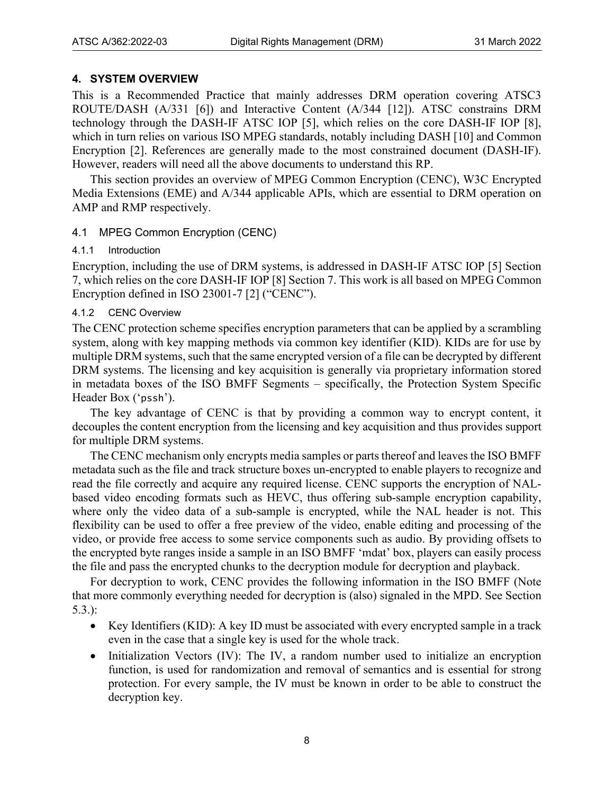#### <span id="page-7-0"></span>**4. SYSTEM OVERVIEW**

This is a Recommended Practice that mainly addresses DRM operation covering ATSC3 ROUTE/DASH (A/331 [\[6\]\)](#page-4-6) and Interactive Content (A/344 [\[12\]\)](#page-5-5). ATSC constrains DRM technology through the DASH-IF ATSC IOP [\[5\],](#page-4-7) which relies on the core DASH-IF IOP [\[8\],](#page-5-6) which in turn relies on various ISO MPEG standards, notably including DASH [\[10\]](#page-5-7) and Common Encryption [\[2\].](#page-4-8) References are generally made to the most constrained document (DASH-IF). However, readers will need all the above documents to understand this RP.

This section provides an overview of MPEG Common Encryption (CENC), W3C Encrypted Media Extensions (EME) and A/344 applicable APIs, which are essential to DRM operation on AMP and RMP respectively.

#### <span id="page-7-1"></span>4.1 MPEG Common Encryption (CENC)

#### <span id="page-7-2"></span>4.1.1 Introduction

Encryption, including the use of DRM systems, is addressed in DASH-IF ATSC IOP [\[5\]](#page-4-7) Section 7, which relies on the core DASH-IF IOP [\[8\]](#page-5-6) Section 7. This work is all based on MPEG Common Encryption defined in ISO 23001-7 [\[2\]](#page-4-8) ("CENC").

#### <span id="page-7-3"></span>4.1.2 CENC Overview

The CENC protection scheme specifies encryption parameters that can be applied by a scrambling system, along with key mapping methods via common key identifier (KID). KIDs are for use by multiple DRM systems, such that the same encrypted version of a file can be decrypted by different DRM systems. The licensing and key acquisition is generally via proprietary information stored in metadata boxes of the ISO BMFF Segments – specifically, the Protection System Specific Header Box ('pssh').

The key advantage of CENC is that by providing a common way to encrypt content, it decouples the content encryption from the licensing and key acquisition and thus provides support for multiple DRM systems.

The CENC mechanism only encrypts media samples or parts thereof and leaves the ISO BMFF metadata such as the file and track structure boxes un-encrypted to enable players to recognize and read the file correctly and acquire any required license. CENC supports the encryption of NALbased video encoding formats such as HEVC, thus offering sub-sample encryption capability, where only the video data of a sub-sample is encrypted, while the NAL header is not. This flexibility can be used to offer a free preview of the video, enable editing and processing of the video, or provide free access to some service components such as audio. By providing offsets to the encrypted byte ranges inside a sample in an ISO BMFF 'mdat' box, players can easily process the file and pass the encrypted chunks to the decryption module for decryption and playback.

For decryption to work, CENC provides the following information in the ISO BMFF (Note that more commonly everything needed for decryption is (also) signaled in the MPD. See Section [5.3.](#page-11-0)):

- Key Identifiers (KID): A key ID must be associated with every encrypted sample in a track even in the case that a single key is used for the whole track.
- Initialization Vectors (IV): The IV, a random number used to initialize an encryption function, is used for randomization and removal of semantics and is essential for strong protection. For every sample, the IV must be known in order to be able to construct the decryption key.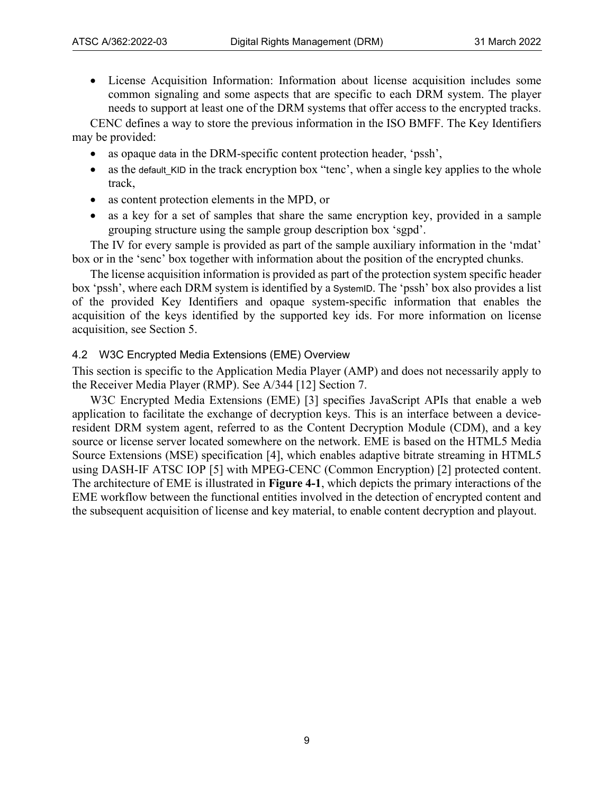• License Acquisition Information: Information about license acquisition includes some common signaling and some aspects that are specific to each DRM system. The player needs to support at least one of the DRM systems that offer access to the encrypted tracks.

CENC defines a way to store the previous information in the ISO BMFF. The Key Identifiers may be provided:

- as opaque data in the DRM-specific content protection header, 'pssh',
- as the default\_KID in the track encryption box "tenc', when a single key applies to the whole track,
- as content protection elements in the MPD, or
- as a key for a set of samples that share the same encryption key, provided in a sample grouping structure using the sample group description box 'sgpd'.

The IV for every sample is provided as part of the sample auxiliary information in the 'mdat' box or in the 'senc' box together with information about the position of the encrypted chunks.

The license acquisition information is provided as part of the protection system specific header box 'pssh', where each DRM system is identified by a SystemID. The 'pssh' box also provides a list of the provided Key Identifiers and opaque system-specific information that enables the acquisition of the keys identified by the supported key ids. For more information on license acquisition, see Section [5.](#page-10-0)

#### <span id="page-8-0"></span>4.2 W3C Encrypted Media Extensions (EME) Overview

This section is specific to the Application Media Player (AMP) and does not necessarily apply to the Receiver Media Player (RMP). See A/344 [\[12\]](#page-5-5) Section 7.

W3C Encrypted Media Extensions (EME) [\[3\]](#page-4-9) specifies JavaScript APIs that enable a web application to facilitate the exchange of decryption keys. This is an interface between a deviceresident DRM system agent, referred to as the Content Decryption Module (CDM), and a key source or license server located somewhere on the network. EME is based on the HTML5 Media Source Extensions (MSE) specification [\[4\],](#page-4-10) which enables adaptive bitrate streaming in HTML5 using DASH-IF ATSC IOP [\[5\]](#page-4-7) with MPEG-CENC (Common Encryption) [\[2\]](#page-4-11) protected content. The architecture of EME is illustrated in **[Figure 4-1](#page-9-1)**, which depicts the primary interactions of the EME workflow between the functional entities involved in the detection of encrypted content and the subsequent acquisition of license and key material, to enable content decryption and playout.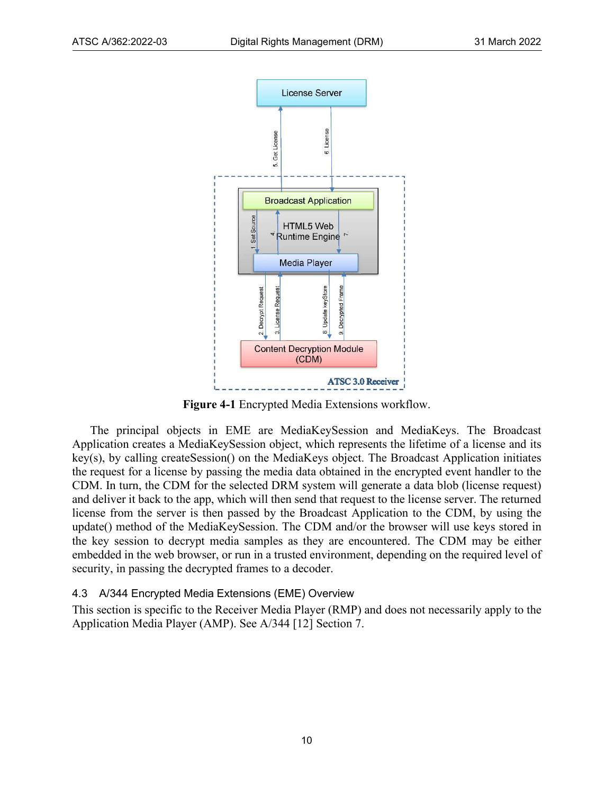

**Figure 4-1** Encrypted Media Extensions workflow.

<span id="page-9-1"></span>The principal objects in EME are MediaKeySession and MediaKeys. The Broadcast Application creates a MediaKeySession object, which represents the lifetime of a license and its key(s), by calling createSession() on the MediaKeys object. The Broadcast Application initiates the request for a license by passing the media data obtained in the encrypted event handler to the CDM. In turn, the CDM for the selected DRM system will generate a data blob (license request) and deliver it back to the app, which will then send that request to the license server. The returned license from the server is then passed by the Broadcast Application to the CDM, by using the update() method of the MediaKeySession. The CDM and/or the browser will use keys stored in the key session to decrypt media samples as they are encountered. The CDM may be either embedded in the web browser, or run in a trusted environment, depending on the required level of security, in passing the decrypted frames to a decoder.

#### <span id="page-9-0"></span>4.3 A/344 Encrypted Media Extensions (EME) Overview

This section is specific to the Receiver Media Player (RMP) and does not necessarily apply to the Application Media Player (AMP). See A/344 [\[12\]](#page-5-5) Section 7.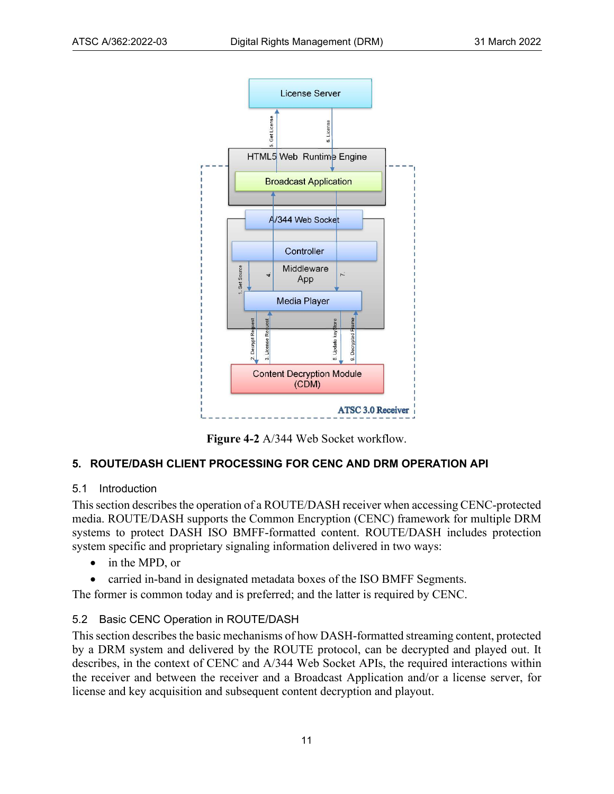



#### <span id="page-10-3"></span><span id="page-10-0"></span>**5. ROUTE/DASH CLIENT PROCESSING FOR CENC AND DRM OPERATION API**

#### <span id="page-10-1"></span>5.1 Introduction

This section describes the operation of a ROUTE/DASH receiver when accessing CENC-protected media. ROUTE/DASH supports the Common Encryption (CENC) framework for multiple DRM systems to protect DASH ISO BMFF-formatted content. ROUTE/DASH includes protection system specific and proprietary signaling information delivered in two ways:

- in the MPD, or
- carried in-band in designated metadata boxes of the ISO BMFF Segments.

The former is common today and is preferred; and the latter is required by CENC.

#### <span id="page-10-2"></span>5.2 Basic CENC Operation in ROUTE/DASH

This section describes the basic mechanisms of how DASH-formatted streaming content, protected by a DRM system and delivered by the ROUTE protocol, can be decrypted and played out. It describes, in the context of CENC and A/344 Web Socket APIs, the required interactions within the receiver and between the receiver and a Broadcast Application and/or a license server, for license and key acquisition and subsequent content decryption and playout.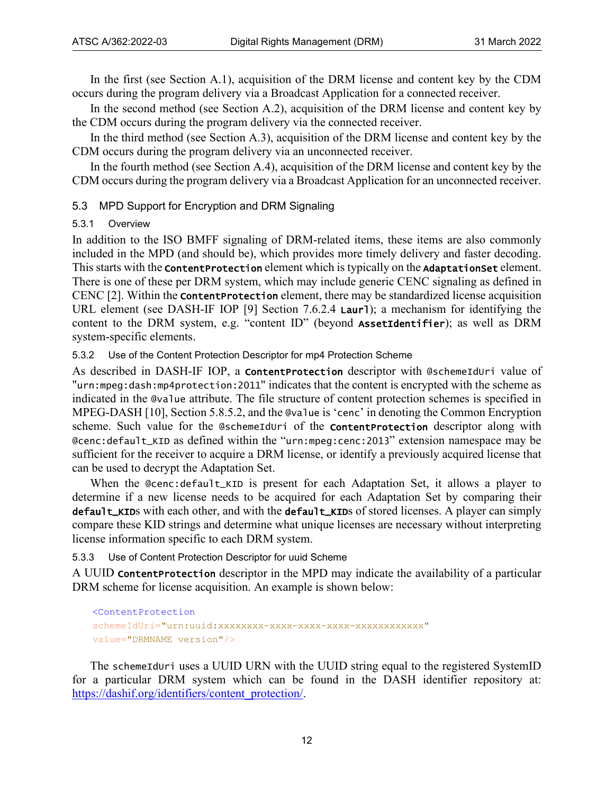In the first (see Section [A.1\)](#page-20-1), acquisition of the DRM license and content key by the CDM occurs during the program delivery via a Broadcast Application for a connected receiver.

In the second method (see Section [A.2\)](#page-22-0), acquisition of the DRM license and content key by the CDM occurs during the program delivery via the connected receiver.

In the third method (see Section [A.3\)](#page-24-0), acquisition of the DRM license and content key by the CDM occurs during the program delivery via an unconnected receiver.

In the fourth method (see Section [A.4\)](#page-26-0), acquisition of the DRM license and content key by the CDM occurs during the program delivery via a Broadcast Application for an unconnected receiver.

#### <span id="page-11-0"></span>5.3 MPD Support for Encryption and DRM Signaling

#### <span id="page-11-1"></span>5.3.1 Overview

In addition to the ISO BMFF signaling of DRM-related items, these items are also commonly included in the MPD (and should be), which provides more timely delivery and faster decoding. This starts with the **ContentProtection** element which is typically on the **AdaptationSet** element. There is one of these per DRM system, which may include generic CENC signaling as defined in CEN[C \[2\].](#page-4-8) Within the ContentProtection element, there may be standardized license acquisition URL element (see DASH-IF IOP [\[9\]](#page-5-8) Section 7.6.2.4 **Laur1**); a mechanism for identifying the content to the DRM system, e.g. "content ID" (beyond AssetIdentifier); as well as DRM system-specific elements.

<span id="page-11-2"></span>5.3.2 Use of the Content Protection Descriptor for mp4 Protection Scheme

As described in DASH-IF IOP, a contentProtection descriptor with @schemeIdUri value of "urn:mpeg:dash:mp4protection:2011" indicates that the content is encrypted with the scheme as indicated in the @value attribute. The file structure of content protection schemes is specified in MPEG-DASH [\[10\],](#page-5-7) Section 5.8.5.2, and the @value is 'cenc' in denoting the Common Encryption scheme. Such value for the @schemeIdUri of the **ContentProtection** descriptor along with @cenc:default\_KID as defined within the "urn:mpeg:cenc:2013" extension namespace may be sufficient for the receiver to acquire a DRM license, or identify a previously acquired license that can be used to decrypt the Adaptation Set.

When the @cenc:default\_KID is present for each Adaptation Set, it allows a player to determine if a new license needs to be acquired for each Adaptation Set by comparing their default\_KIDs with each other, and with the default\_KIDs of stored licenses. A player can simply compare these KID strings and determine what unique licenses are necessary without interpreting license information specific to each DRM system.

<span id="page-11-3"></span>5.3.3 Use of Content Protection Descriptor for uuid Scheme

A UUID ContentProtection descriptor in the MPD may indicate the availability of a particular DRM scheme for license acquisition. An example is shown below:

```
<ContentProtection
schemeIdUri="urn:uuid:xxxxxxxx-xxxx-xxxx-xxxx-xxxxxxxxxxxx"
value="DRMNAME version"/>
```
The schemeIduri uses a UUID URN with the UUID string equal to the registered SystemID for a particular DRM system which can be found in the DASH identifier repository at: [https://dashif.org/identifiers/content\\_protection/.](https://dashif.org/identifiers/content_protection/)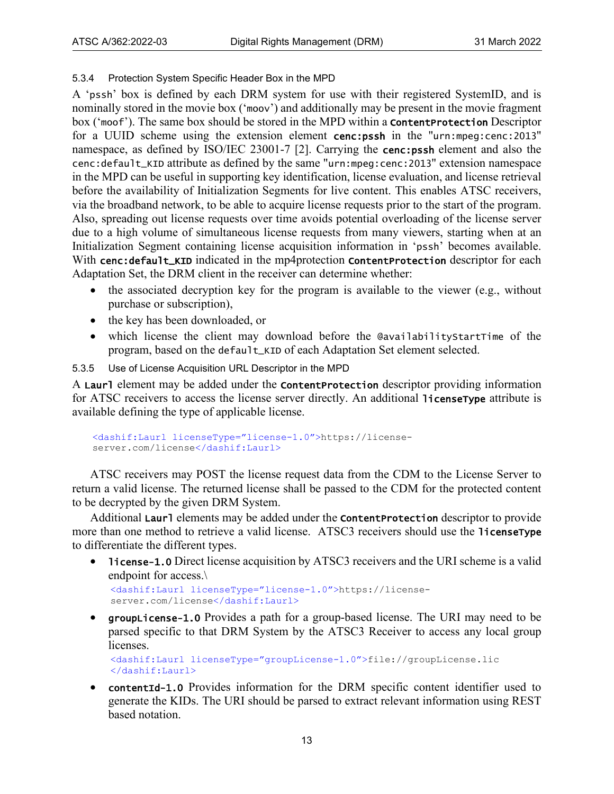#### <span id="page-12-0"></span>5.3.4 Protection System Specific Header Box in the MPD

A 'pssh' box is defined by each DRM system for use with their registered SystemID, and is nominally stored in the movie box ('moov') and additionally may be present in the movie fragment box ('moof'). The same box should be stored in the MPD within a ContentProtection Descriptor for a UUID scheme using the extension element cenc:pssh in the "urn:mpeg:cenc:2013" namespace, as defined by ISO/IEC 23001-7 [\[2\].](#page-4-11) Carrying the cenc:pssh element and also the cenc:default\_KID attribute as defined by the same "urn:mpeg:cenc:2013" extension namespace in the MPD can be useful in supporting key identification, license evaluation, and license retrieval before the availability of Initialization Segments for live content. This enables ATSC receivers, via the broadband network, to be able to acquire license requests prior to the start of the program. Also, spreading out license requests over time avoids potential overloading of the license server due to a high volume of simultaneous license requests from many viewers, starting when at an Initialization Segment containing license acquisition information in 'pssh' becomes available. With cenc:default\_KID indicated in the mp4protection ContentProtection descriptor for each Adaptation Set, the DRM client in the receiver can determine whether:

- the associated decryption key for the program is available to the viewer (e.g., without purchase or subscription),
- the key has been downloaded, or
- which license the client may download before the @availabilityStartTime of the program, based on the default\_KID of each Adaptation Set element selected.
- <span id="page-12-1"></span>5.3.5 Use of License Acquisition URL Descriptor in the MPD

A Laurl element may be added under the **ContentProtection** descriptor providing information for ATSC receivers to access the license server directly. An additional licenseType attribute is available defining the type of applicable license.

```
<dashif:Laurl licenseType="license-1.0">https://license-
server.com/license</dashif:Laurl>
```
ATSC receivers may POST the license request data from the CDM to the License Server to return a valid license. The returned license shall be passed to the CDM for the protected content to be decrypted by the given DRM System.

Additional Laurl elements may be added under the **Content Protection** descriptor to provide more than one method to retrieve a valid license. ATSC3 receivers should use the licenseType to differentiate the different types.

• license-1.0 Direct license acquisition by ATSC3 receivers and the URI scheme is a valid endpoint for access.\

<dashif:Laurl licenseType="license-1.0">https://licenseserver.com/license</dashif:Laurl>

• groupLicense-1.0 Provides a path for a group-based license. The URI may need to be parsed specific to that DRM System by the ATSC3 Receiver to access any local group licenses.

<dashif:Laurl licenseType="groupLicense-1.0">file://groupLicense.lic </dashif:Laurl>

• contentId-1.0 Provides information for the DRM specific content identifier used to generate the KIDs. The URI should be parsed to extract relevant information using REST based notation.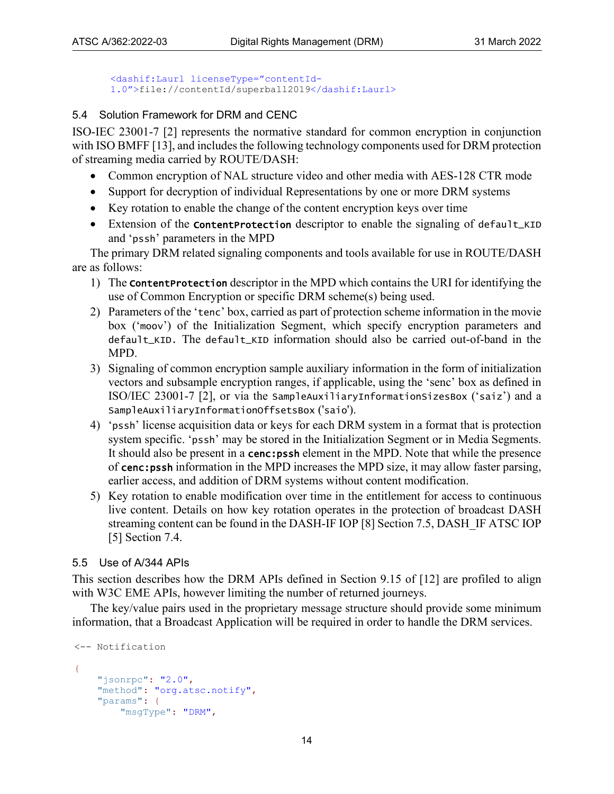```
<dashif:Laurl licenseType="contentId-
1.0">file://contentId/superball2019</dashif:Laurl>
```
#### <span id="page-13-0"></span>5.4 Solution Framework for DRM and CENC

ISO-IEC 23001-7 [\[2\]](#page-4-11) represents the normative standard for common encryption in conjunction with ISO BMF[F \[13\],](#page-5-9) and includes the following technology components used for DRM protection of streaming media carried by ROUTE/DASH:

- Common encryption of NAL structure video and other media with AES-128 CTR mode
- Support for decryption of individual Representations by one or more DRM systems
- Key rotation to enable the change of the content encryption keys over time
- Extension of the **content Protection** descriptor to enable the signaling of default\_KID and 'pssh' parameters in the MPD

The primary DRM related signaling components and tools available for use in ROUTE/DASH are as follows:

- 1) The ContentProtection descriptor in the MPD which contains the URI for identifying the use of Common Encryption or specific DRM scheme(s) being used.
- 2) Parameters of the 'tenc' box, carried as part of protection scheme information in the movie box ('moov') of the Initialization Segment, which specify encryption parameters and default\_KID. The default\_KID information should also be carried out-of-band in the MPD.
- 3) Signaling of common encryption sample auxiliary information in the form of initialization vectors and subsample encryption ranges, if applicable, using the 'senc' box as defined in ISO/IEC 23001-7 [\[2\],](#page-4-11) or via the SampleAuxiliaryInformationSizesBox ('saiz') and a SampleAuxiliaryInformationOffsetsBox ('saio').
- 4) 'pssh' license acquisition data or keys for each DRM system in a format that is protection system specific. 'pssh' may be stored in the Initialization Segment or in Media Segments. It should also be present in a **cenc:pssh** element in the MPD. Note that while the presence of cenc:pssh information in the MPD increases the MPD size, it may allow faster parsing, earlier access, and addition of DRM systems without content modification.
- 5) Key rotation to enable modification over time in the entitlement for access to continuous live content. Details on how key rotation operates in the protection of broadcast DASH streaming content can be found in the DASH-IF IOP [\[8\]](#page-5-6) Section 7.5, DASH\_IF ATSC IOP [\[5\]](#page-4-12) Section 7.4.

#### <span id="page-13-1"></span>5.5 Use of A/344 APIs

This section describes how the DRM APIs defined in Section 9.15 of [\[12\]](#page-5-5) are profiled to align with W3C EME APIs, however limiting the number of returned journeys.

The key/value pairs used in the proprietary message structure should provide some minimum information, that a Broadcast Application will be required in order to handle the DRM services.

```
<-- Notification
{
    "jsonrpc": "2.0",
     "method": "org.atsc.notify",
     "params": {
         "msgType": "DRM",
```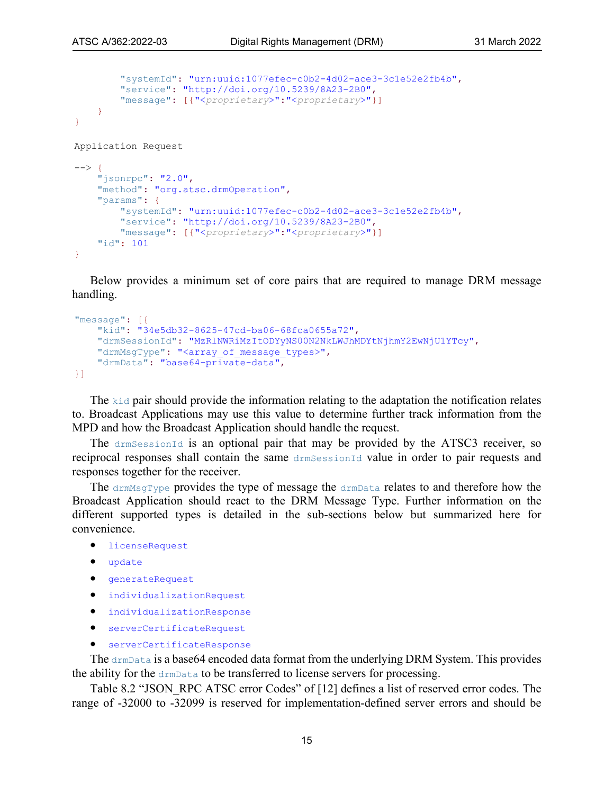```
 "systemId": "urn:uuid:1077efec-c0b2-4d02-ace3-3c1e52e2fb4b", 
         "service": "http://doi.org/10.5239/8A23-2B0",
         "message": [{"<proprietary>":"<proprietary>"}]
     }
}
Application Request
--&> {
     "jsonrpc": "2.0",
     "method": "org.atsc.drmOperation",
     "params": {
         "systemId": "urn:uuid:1077efec-c0b2-4d02-ace3-3c1e52e2fb4b",
         "service": "http://doi.org/10.5239/8A23-2B0",
         "message": [{"<proprietary>":"<proprietary>"}]
     "id": 101
}
```
Below provides a minimum set of core pairs that are required to manage DRM message handling.

```
"message": [{
     "kid": "34e5db32-8625-47cd-ba06-68fca0655a72", 
     "drmSessionId": "MzRlNWRiMzItODYyNS00N2NkLWJhMDYtNjhmY2EwNjU1YTcy", 
    "drmMsgType": "<array of message types>",
     "drmData": "base64-private-data", 
}]
```
The kid pair should provide the information relating to the adaptation the notification relates to. Broadcast Applications may use this value to determine further track information from the MPD and how the Broadcast Application should handle the request.

The drmSessionId is an optional pair that may be provided by the ATSC3 receiver, so reciprocal responses shall contain the same drmSessionId value in order to pair requests and responses together for the receiver.

The drmMsgType provides the type of message the drmData relates to and therefore how the Broadcast Application should react to the DRM Message Type. Further information on the different supported types is detailed in the sub-sections below but summarized here for convenience.

```
licenseRequest
```
- update
- generateRequest
- individualizationRequest
- individualizationResponse
- serverCertificateRequest
- serverCertificateResponse

The drmData is a base64 encoded data format from the underlying DRM System. This provides the ability for the drmData to be transferred to license servers for processing.

Table 8.2 "JSON\_RPC ATSC error Codes" of [\[12\]](#page-5-5) defines a list of reserved error codes. The range of -32000 to -32099 is reserved for implementation-defined server errors and should be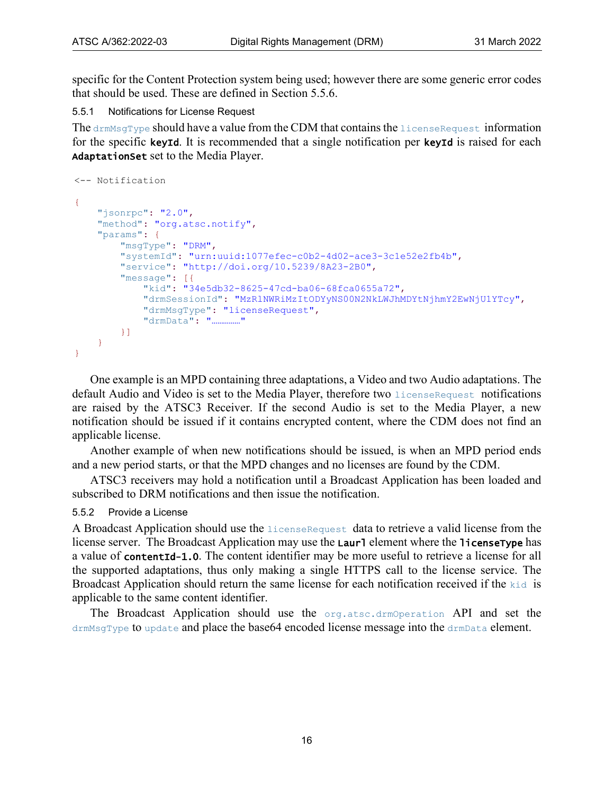specific for the Content Protection system being used; however there are some generic error codes that should be used. These are defined in Section [5.5.6.](#page-19-0)

<span id="page-15-0"></span>5.5.1 Notifications for License Request

The drmMsgType should have a value from the CDM that contains the licenseRequest information for the specific keyId. It is recommended that a single notification per keyId is raised for each AdaptationSet set to the Media Player.

```
<-- Notification
{
     "jsonrpc": "2.0",
     "method": "org.atsc.notify",
     "params": {
         "msgType": "DRM", 
         "systemId": "urn:uuid:1077efec-c0b2-4d02-ace3-3c1e52e2fb4b", 
         "service": "http://doi.org/10.5239/8A23-2B0",
         "message": [{
             "kid": "34e5db32-8625-47cd-ba06-68fca0655a72", 
              "drmSessionId": "MzRlNWRiMzItODYyNS00N2NkLWJhMDYtNjhmY2EwNjU1YTcy", 
              "drmMsgType": "licenseRequest", 
              "drmData": "……………"
         }]
     }
}
```
One example is an MPD containing three adaptations, a Video and two Audio adaptations. The default Audio and Video is set to the Media Player, therefore two licenseRequest notifications are raised by the ATSC3 Receiver. If the second Audio is set to the Media Player, a new notification should be issued if it contains encrypted content, where the CDM does not find an applicable license.

Another example of when new notifications should be issued, is when an MPD period ends and a new period starts, or that the MPD changes and no licenses are found by the CDM.

ATSC3 receivers may hold a notification until a Broadcast Application has been loaded and subscribed to DRM notifications and then issue the notification.

#### <span id="page-15-1"></span>5.5.2 Provide a License

A Broadcast Application should use the licenseRequest data to retrieve a valid license from the license server. The Broadcast Application may use the **Laurl** element where the **licenseType** has a value of contentId-1.0. The content identifier may be more useful to retrieve a license for all the supported adaptations, thus only making a single HTTPS call to the license service. The Broadcast Application should return the same license for each notification received if the kid is applicable to the same content identifier.

The Broadcast Application should use the org.atsc.drmOperation API and set the drmMsgType to update and place the base64 encoded license message into the drmData element.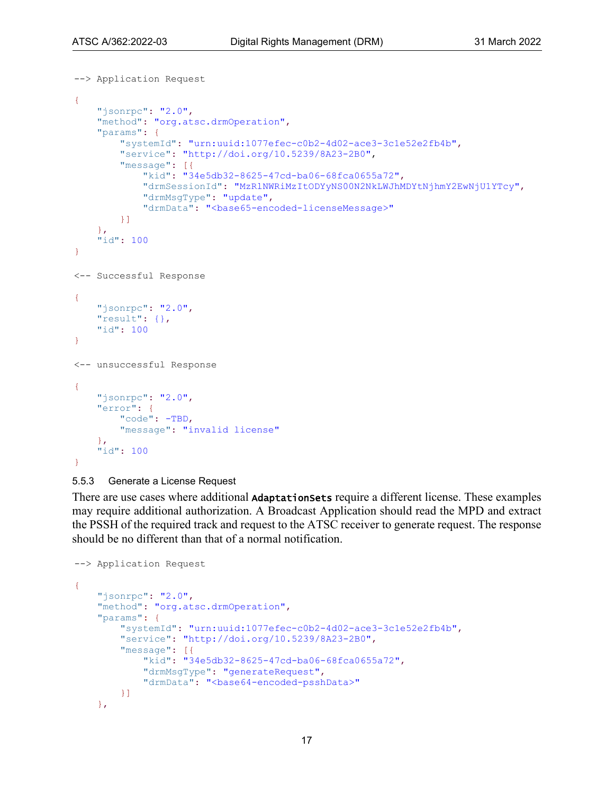```
--> Application Request
{
     "jsonrpc": "2.0",
     "method": "org.atsc.drmOperation",
     "params": {
         "systemId": "urn:uuid:1077efec-c0b2-4d02-ace3-3c1e52e2fb4b", 
         "service": "http://doi.org/10.5239/8A23-2B0", 
         "message": [{
              "kid": "34e5db32-8625-47cd-ba06-68fca0655a72", 
              "drmSessionId": "MzRlNWRiMzItODYyNS00N2NkLWJhMDYtNjhmY2EwNjU1YTcy", 
              "drmMsgType": "update", 
             "drmData": "<br/>base65-encoded-licenseMessage>"
         }]
     }, 
     "id": 100
}
<-- Successful Response
{
     "jsonrpc": "2.0",
     "result": {}, 
     "id": 100
}
<-- unsuccessful Response
{
    "jsonrpc": "2.0",
     "error": {
         "code": -TBD,
         "message": "invalid license" 
     },
     "id": 100
}
```

```
5.5.3 Generate a License Request
```
There are use cases where additional **AdaptationSets** require a different license. These examples may require additional authorization. A Broadcast Application should read the MPD and extract the PSSH of the required track and request to the ATSC receiver to generate request. The response should be no different than that of a normal notification.

```
--> Application Request
{
     "jsonrpc": "2.0",
     "method": "org.atsc.drmOperation",
     "params": {
         "systemId": "urn:uuid:1077efec-c0b2-4d02-ace3-3c1e52e2fb4b", 
         "service": "http://doi.org/10.5239/8A23-2B0",
         "message": [{
              "kid": "34e5db32-8625-47cd-ba06-68fca0655a72", 
              "drmMsgType": "generateRequest", 
             "drmData": "<br/>base64-encoded-psshData>"
         }]
     },
```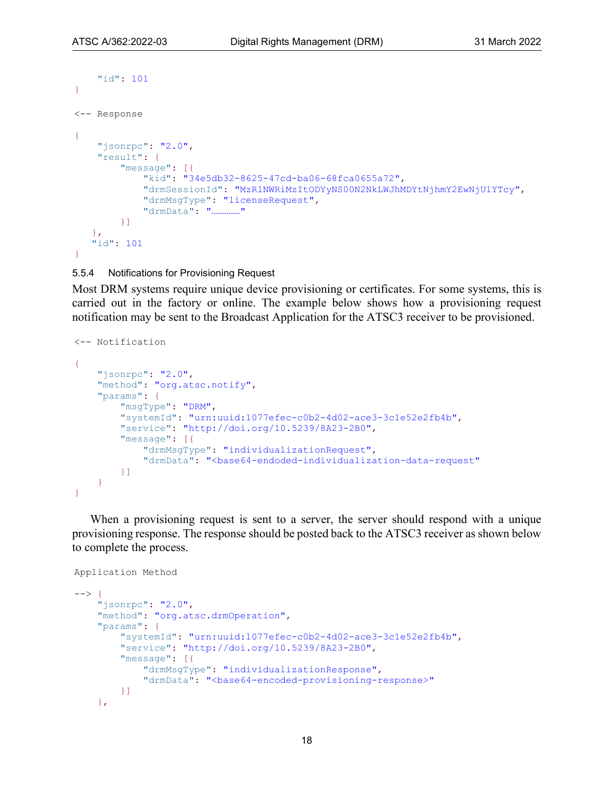```
 "id": 101
}
<-- Response
{ 
   "jsonrpc": "2.0",
    "result": {
         "message": [{
             "kid": "34e5db32-8625-47cd-ba06-68fca0655a72", 
             "drmSessionId": "MzRlNWRiMzItODYyNS00N2NkLWJhMDYtNjhmY2EwNjU1YTcy", 
 "drmMsgType": "licenseRequest", 
 "drmData": "……………"
         }]
    }, 
    "id": 101
}
```
#### <span id="page-17-0"></span>5.5.4 Notifications for Provisioning Request

Most DRM systems require unique device provisioning or certificates. For some systems, this is carried out in the factory or online. The example below shows how a provisioning request notification may be sent to the Broadcast Application for the ATSC3 receiver to be provisioned.

```
<-- Notification 
{
     "jsonrpc": "2.0",
     "method": "org.atsc.notify",
     "params": {
         "msgType": "DRM", 
         "systemId": "urn:uuid:1077efec-c0b2-4d02-ace3-3c1e52e2fb4b", 
         "service": "http://doi.org/10.5239/8A23-2B0",
         "message": [{
              "drmMsgType": "individualizationRequest",
             "drmData": "<br />base64-endoded-individualization-data-request"
         }]
     }
}
```
When a provisioning request is sent to a server, the server should respond with a unique provisioning response. The response should be posted back to the ATSC3 receiver as shown below to complete the process.

```
Application Method
```

```
--> {
     "jsonrpc": "2.0",
     "method": "org.atsc.drmOperation",
     "params": {
         "systemId": "urn:uuid:1077efec-c0b2-4d02-ace3-3c1e52e2fb4b",
         "service": "http://doi.org/10.5239/8A23-2B0",
         "message": [{
              "drmMsgType": "individualizationResponse",
             "drmData": "<br />base64-encoded-provisioning-response>"
         }]
     },
```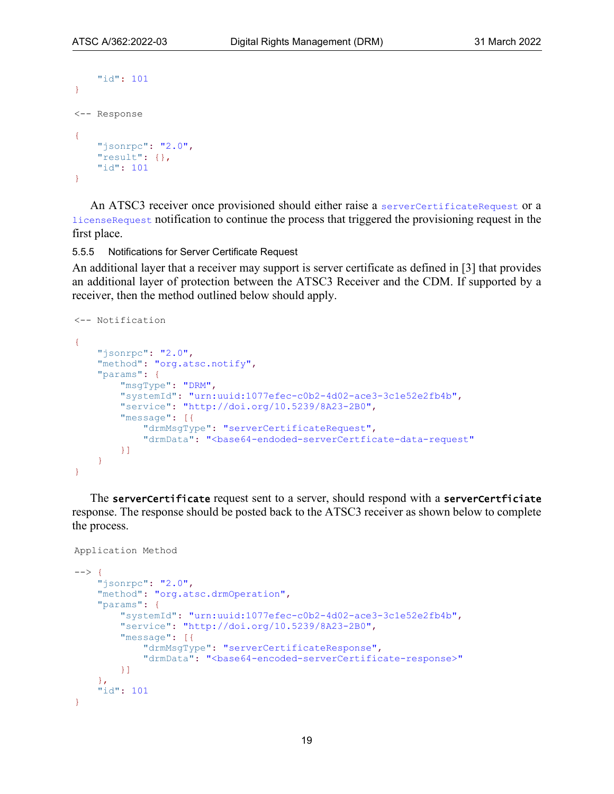```
 "id": 101
}
<-- Response
{
     "jsonrpc": "2.0",
     "result": {}, 
     "id": 101
}
```
An ATSC3 receiver once provisioned should either raise a serverCertificateRequest or a licenseRequest notification to continue the process that triggered the provisioning request in the first place.

<span id="page-18-0"></span>5.5.5 Notifications for Server Certificate Request

An additional layer that a receiver may support is server certificate as defined in [\[3\]](#page-4-9) that provides an additional layer of protection between the ATSC3 Receiver and the CDM. If supported by a receiver, then the method outlined below should apply.

```
<-- Notification
{
     "jsonrpc": "2.0",
     "method": "org.atsc.notify",
     "params": {
         "msgType": "DRM", 
         "systemId": "urn:uuid:1077efec-c0b2-4d02-ace3-3c1e52e2fb4b", 
         "service": "http://doi.org/10.5239/8A23-2B0",
         "message": [{
              "drmMsgType": "serverCertificateRequest",
              "drmData": "<base64-endoded-serverCertficate-data-request"
         }]
     }
}
```
The serverCertificate request sent to a server, should respond with a serverCertficiate response. The response should be posted back to the ATSC3 receiver as shown below to complete the process.

```
Application Method
```

```
--> {
     "jsonrpc": "2.0",
     "method": "org.atsc.drmOperation",
     "params": {
         "systemId": "urn:uuid:1077efec-c0b2-4d02-ace3-3c1e52e2fb4b",
         "service": "http://doi.org/10.5239/8A23-2B0",
         "message": [{
             "drmMsgType": "serverCertificateResponse",
             "drmData": "<br />base64-encoded-serverCertificate-response>"
         }]
     },
     "id": 101
}
```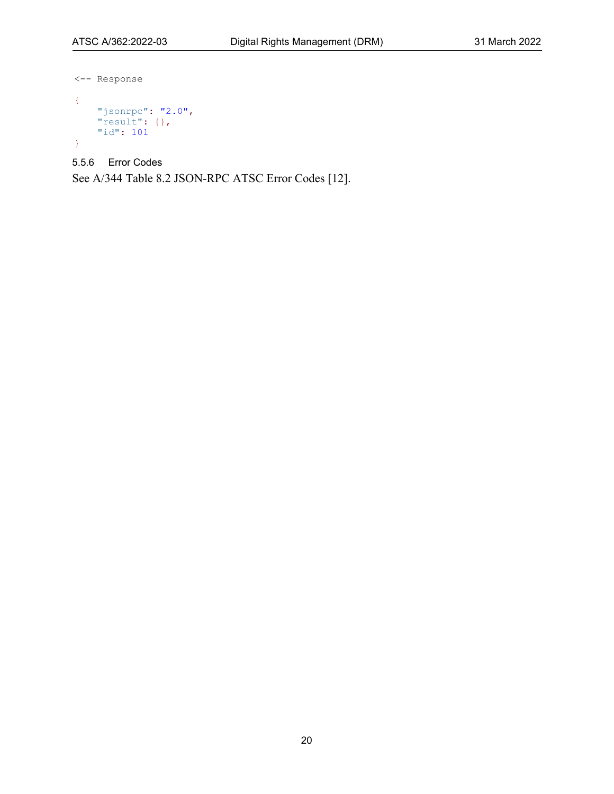```
<-- Response
{
 "jsonrpc": "2.0",
 "result": {}, 
 "id": 101
}
```
<span id="page-19-0"></span>5.5.6 Error Codes

See A/344 Table 8.2 JSON-RPC ATSC Error Codes [\[12\].](#page-5-5)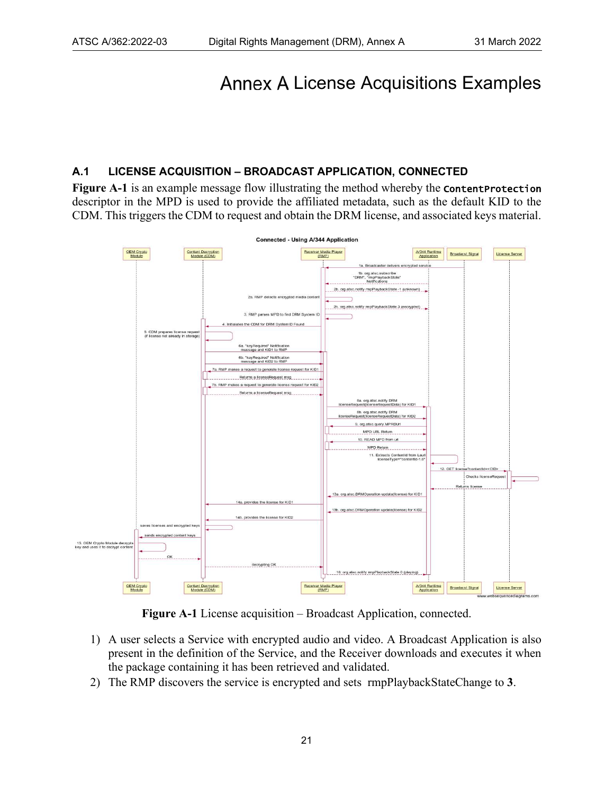## <span id="page-20-0"></span>Annex A License Acquisitions Examples

#### <span id="page-20-1"></span>**A.1 LICENSE ACQUISITION – BROADCAST APPLICATION, CONNECTED**

**[Figure A-1](#page-20-2)** is an example message flow illustrating the method whereby the **Content Protection** descriptor in the MPD is used to provide the affiliated metadata, such as the default KID to the CDM. This triggers the CDM to request and obtain the DRM license, and associated keys material.



**Figure A-1** License acquisition – Broadcast Application, connected.

- <span id="page-20-2"></span>1) A user selects a Service with encrypted audio and video. A Broadcast Application is also present in the definition of the Service, and the Receiver downloads and executes it when the package containing it has been retrieved and validated.
- 2) The RMP discovers the service is encrypted and sets rmpPlaybackStateChange to **3**.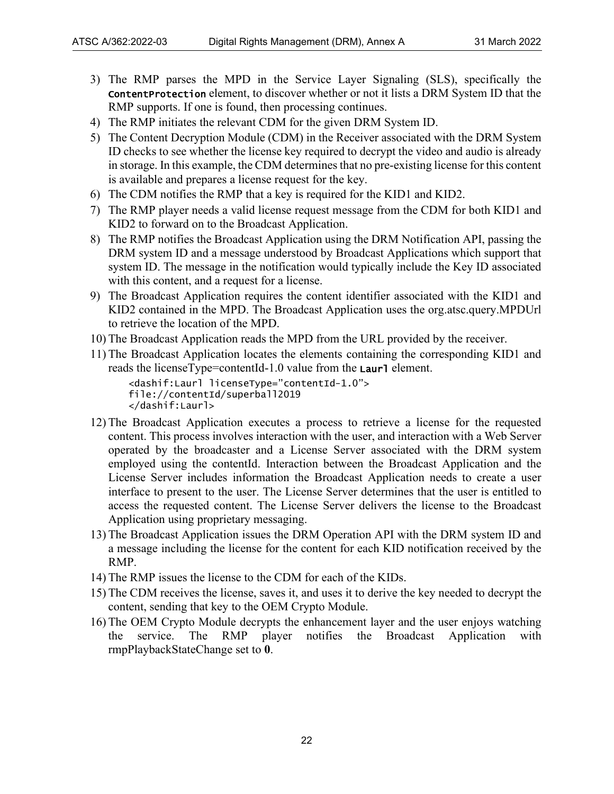- 3) The RMP parses the MPD in the Service Layer Signaling (SLS), specifically the ContentProtection element, to discover whether or not it lists a DRM System ID that the RMP supports. If one is found, then processing continues.
- 4) The RMP initiates the relevant CDM for the given DRM System ID.
- 5) The Content Decryption Module (CDM) in the Receiver associated with the DRM System ID checks to see whether the license key required to decrypt the video and audio is already in storage. In this example, the CDM determines that no pre-existing license for this content is available and prepares a license request for the key.
- 6) The CDM notifies the RMP that a key is required for the KID1 and KID2.
- 7) The RMP player needs a valid license request message from the CDM for both KID1 and KID2 to forward on to the Broadcast Application.
- 8) The RMP notifies the Broadcast Application using the DRM Notification API, passing the DRM system ID and a message understood by Broadcast Applications which support that system ID. The message in the notification would typically include the Key ID associated with this content, and a request for a license.
- 9) The Broadcast Application requires the content identifier associated with the KID1 and KID2 contained in the MPD. The Broadcast Application uses the org.atsc.query.MPDUrl to retrieve the location of the MPD.
- 10) The Broadcast Application reads the MPD from the URL provided by the receiver.
- 11) The Broadcast Application locates the elements containing the corresponding KID1 and reads the licenseType=contentId-1.0 value from the  $Laur1$  element.

```
<dashif:Laurl licenseType="contentId-1.0">
file://contentId/superball2019
</dashif:Laurl>
```
- 12) The Broadcast Application executes a process to retrieve a license for the requested content. This process involves interaction with the user, and interaction with a Web Server operated by the broadcaster and a License Server associated with the DRM system employed using the contentId. Interaction between the Broadcast Application and the License Server includes information the Broadcast Application needs to create a user interface to present to the user. The License Server determines that the user is entitled to access the requested content. The License Server delivers the license to the Broadcast Application using proprietary messaging.
- 13) The Broadcast Application issues the DRM Operation API with the DRM system ID and a message including the license for the content for each KID notification received by the RMP.
- 14) The RMP issues the license to the CDM for each of the KIDs.
- 15) The CDM receives the license, saves it, and uses it to derive the key needed to decrypt the content, sending that key to the OEM Crypto Module.
- 16) The OEM Crypto Module decrypts the enhancement layer and the user enjoys watching the service. The RMP player notifies the Broadcast Application with rmpPlaybackStateChange set to **0**.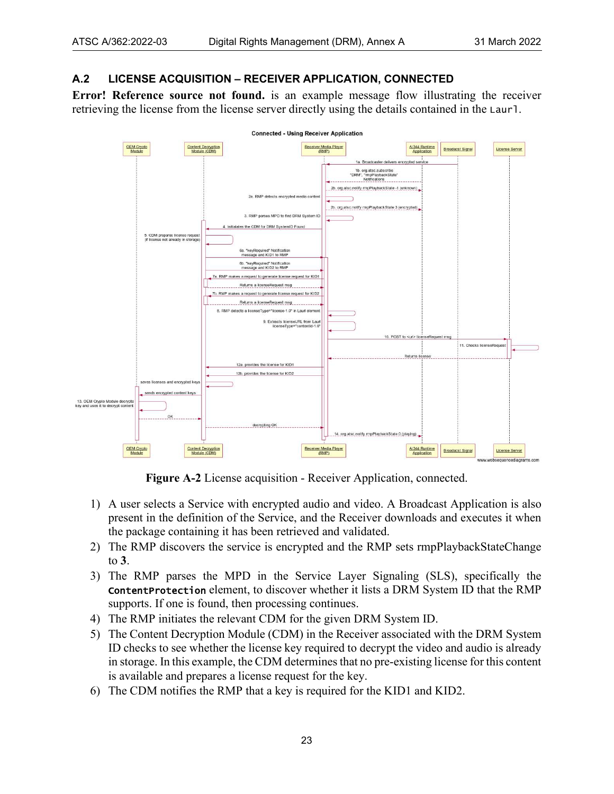#### <span id="page-22-0"></span>**A.2 LICENSE ACQUISITION – RECEIVER APPLICATION, CONNECTED**

**Error! Reference source not found.** is an example message flow illustrating the receiver retrieving the license from the license server directly using the details contained in the Laurl.



**Figure A-2** License acquisition - Receiver Application, connected.

- <span id="page-22-1"></span>1) A user selects a Service with encrypted audio and video. A Broadcast Application is also present in the definition of the Service, and the Receiver downloads and executes it when the package containing it has been retrieved and validated.
- 2) The RMP discovers the service is encrypted and the RMP sets rmpPlaybackStateChange to **3**.
- 3) The RMP parses the MPD in the Service Layer Signaling (SLS), specifically the ContentProtection element, to discover whether it lists a DRM System ID that the RMP supports. If one is found, then processing continues.
- 4) The RMP initiates the relevant CDM for the given DRM System ID.
- 5) The Content Decryption Module (CDM) in the Receiver associated with the DRM System ID checks to see whether the license key required to decrypt the video and audio is already in storage. In this example, the CDM determines that no pre-existing license for this content is available and prepares a license request for the key.
- 6) The CDM notifies the RMP that a key is required for the KID1 and KID2.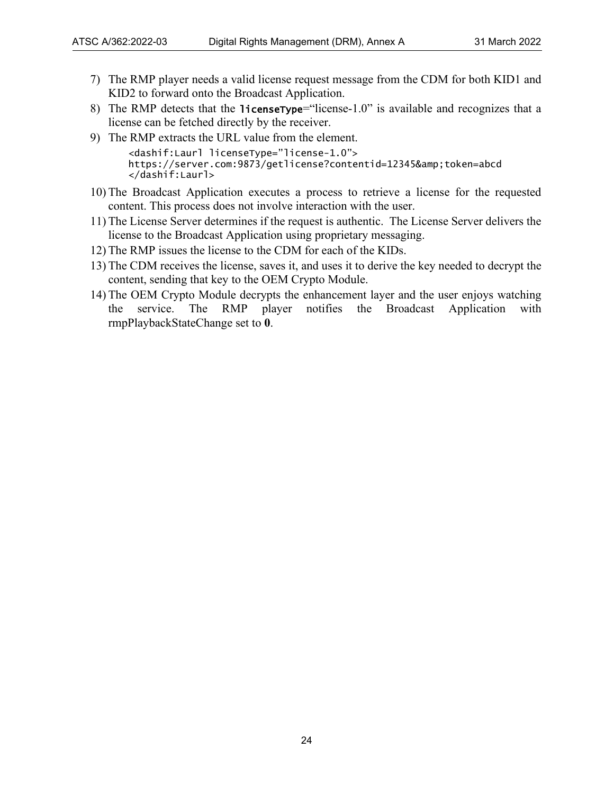- 7) The RMP player needs a valid license request message from the CDM for both KID1 and KID2 to forward onto the Broadcast Application.
- 8) The RMP detects that the licensetype="license-1.0" is available and recognizes that a license can be fetched directly by the receiver.
- 9) The RMP extracts the URL value from the element.

```
<dashif:Laurl licenseType="license-1.0">
https://server.com:9873/getlicense?contentid=12345&token=abcd
</dashif:Laurl>
```
- 10) The Broadcast Application executes a process to retrieve a license for the requested content. This process does not involve interaction with the user.
- 11) The License Server determines if the request is authentic. The License Server delivers the license to the Broadcast Application using proprietary messaging.
- 12) The RMP issues the license to the CDM for each of the KIDs.
- 13) The CDM receives the license, saves it, and uses it to derive the key needed to decrypt the content, sending that key to the OEM Crypto Module.
- 14) The OEM Crypto Module decrypts the enhancement layer and the user enjoys watching the service. The RMP player notifies the Broadcast Application with rmpPlaybackStateChange set to **0**.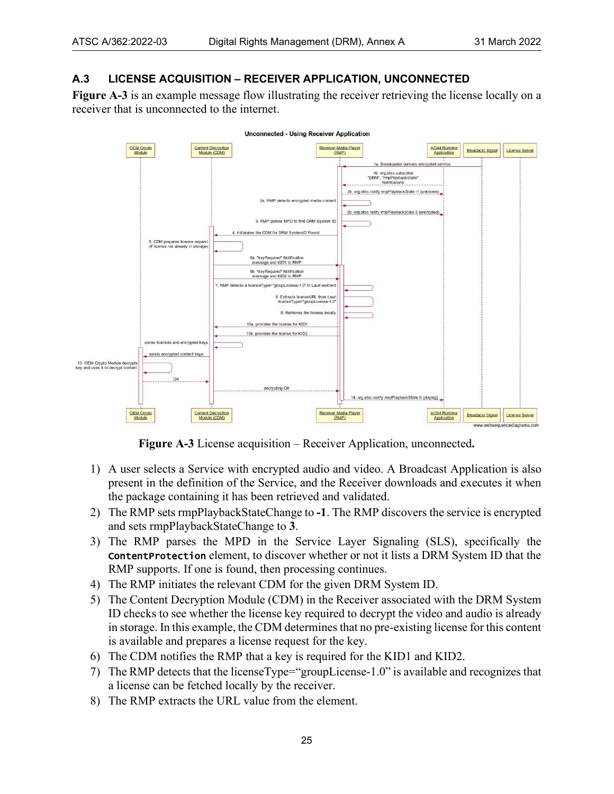#### <span id="page-24-0"></span>**A.3 LICENSE ACQUISITION – RECEIVER APPLICATION, UNCONNECTED**

**[Figure A-3](#page-24-1)** is an example message flow illustrating the receiver retrieving the license locally on a receiver that is unconnected to the internet.



**Figure A-3** License acquisition – Receiver Application, unconnected**.**

- <span id="page-24-1"></span>1) A user selects a Service with encrypted audio and video. A Broadcast Application is also present in the definition of the Service, and the Receiver downloads and executes it when the package containing it has been retrieved and validated.
- 2) The RMP sets rmpPlaybackStateChange to **-1**. The RMP discovers the service is encrypted and sets rmpPlaybackStateChange to **3**.
- 3) The RMP parses the MPD in the Service Layer Signaling (SLS), specifically the ContentProtection element, to discover whether or not it lists a DRM System ID that the RMP supports. If one is found, then processing continues.
- 4) The RMP initiates the relevant CDM for the given DRM System ID.
- 5) The Content Decryption Module (CDM) in the Receiver associated with the DRM System ID checks to see whether the license key required to decrypt the video and audio is already in storage. In this example, the CDM determines that no pre-existing license for this content is available and prepares a license request for the key.
- 6) The CDM notifies the RMP that a key is required for the KID1 and KID2.
- 7) The RMP detects that the licenseType="groupLicense-1.0" is available and recognizes that a license can be fetched locally by the receiver.
- 8) The RMP extracts the URL value from the element.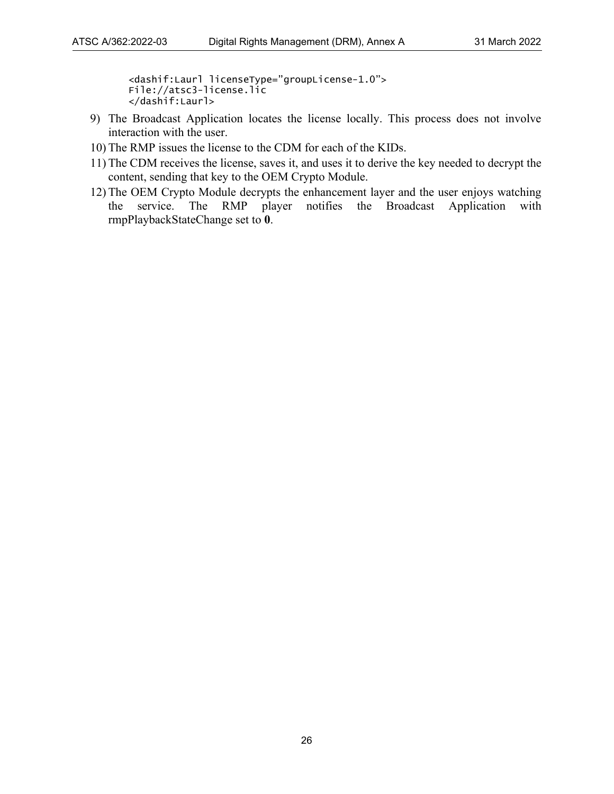<dashif:Laurl licenseType="groupLicense-1.0"> File://atsc3-license.lic </dashif:Laurl>

- 9) The Broadcast Application locates the license locally. This process does not involve interaction with the user.
- 10) The RMP issues the license to the CDM for each of the KIDs.
- 11) The CDM receives the license, saves it, and uses it to derive the key needed to decrypt the content, sending that key to the OEM Crypto Module.
- 12) The OEM Crypto Module decrypts the enhancement layer and the user enjoys watching the service. The RMP player notifies the Broadcast Application with rmpPlaybackStateChange set to **0**.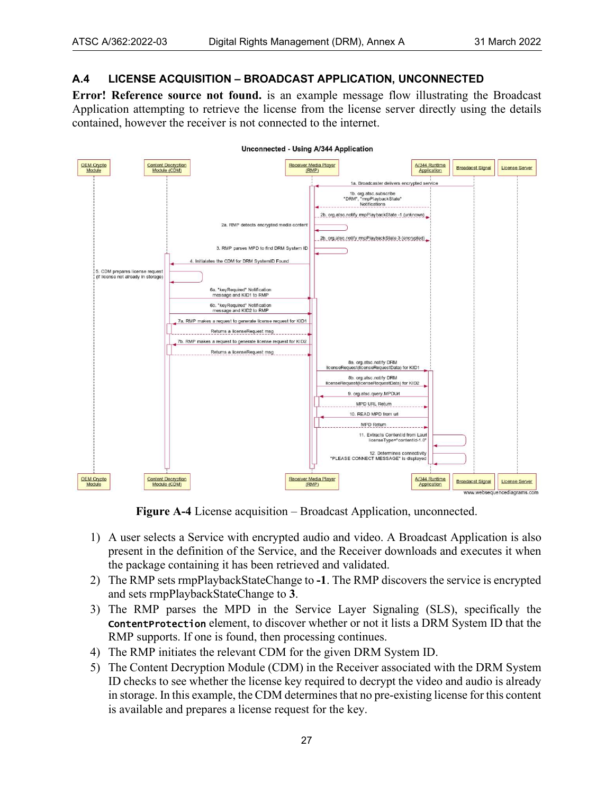#### <span id="page-26-0"></span>**A.4 LICENSE ACQUISITION – BROADCAST APPLICATION, UNCONNECTED**

**Error! Reference source not found.** is an example message flow illustrating the Broadcast Application attempting to retrieve the license from the license server directly using the details contained, however the receiver is not connected to the internet.

Unconnected - Using A/344 Application

| <b>OEM Crypto</b>                                                      | <b>Content Decryption</b>                                                                                                                                                                                                                                                                                                               | Receiver Media Player                                                                                                                                                                                                                                                                                                                                                                    | A/344 Runtime                       | <b>Broadacst Signal</b> | License Server                                       |
|------------------------------------------------------------------------|-----------------------------------------------------------------------------------------------------------------------------------------------------------------------------------------------------------------------------------------------------------------------------------------------------------------------------------------|------------------------------------------------------------------------------------------------------------------------------------------------------------------------------------------------------------------------------------------------------------------------------------------------------------------------------------------------------------------------------------------|-------------------------------------|-------------------------|------------------------------------------------------|
| Module                                                                 | Module (CDM)<br>2a. RMP detects encrypted media content<br>3. RMP parses MPD to find DRM System ID                                                                                                                                                                                                                                      | (RMP)<br>1a. Broadcaster delivers encrypted service<br>1b. org.atsc.subscribe<br>"DRM", "mpPlaybackState"<br>Notifications<br>2b. org.atsc.notify mpPlaybackState -1 (unknown)<br>2b. org.atsc.notify mpPlaybackState 3 (encrypted)                                                                                                                                                      | Application                         |                         |                                                      |
| 5. CDM prepares license request<br>(if license not already in storage) | 4. Initialates the CDM for DRM SystemID Found<br>6a. "keyRequired" Notification<br>message and KID1 to RMP<br>6b. "keyRequired" Notification<br>message and KID2 to RMP<br>7a. RMP makes a request to generate license request for KID1<br>Returns a licenseRequest msg<br>7b. RMP makes a request to generate license request for KID2 |                                                                                                                                                                                                                                                                                                                                                                                          |                                     |                         |                                                      |
|                                                                        | Returns a licenseRequest msg                                                                                                                                                                                                                                                                                                            | 8a. org.atsc.notify DRM<br>licenseRequest(licenseRequestData) for KID1<br>8b. org.atsc.notify DRM<br>licenseRequest(licenseRequestData) for KID2<br>9. org.atsc.query.MPDUrl<br>MPD URL Return<br>10. READ MPD from url<br><b>MPD Return</b><br>11. Extracts ContentId from Laurl<br>licenseType="contentId-1.0"<br>12. Determines connectivity<br>"PLEASE CONNECT MESSAGE" is displayed |                                     |                         |                                                      |
| <b>OEM Crypto</b><br>Module                                            | <b>Content Decryption</b><br>Module (CDM)                                                                                                                                                                                                                                                                                               | Receiver Media Player<br>(RMP)                                                                                                                                                                                                                                                                                                                                                           | A/344 Runtime<br><b>Application</b> | <b>Broadacst Signal</b> | <b>License Server</b><br>www.websequencediagrams.com |

**Figure A-4** License acquisition – Broadcast Application, unconnected.

- <span id="page-26-1"></span>1) A user selects a Service with encrypted audio and video. A Broadcast Application is also present in the definition of the Service, and the Receiver downloads and executes it when the package containing it has been retrieved and validated.
- 2) The RMP sets rmpPlaybackStateChange to **-1**. The RMP discovers the service is encrypted and sets rmpPlaybackStateChange to **3**.
- 3) The RMP parses the MPD in the Service Layer Signaling (SLS), specifically the ContentProtection element, to discover whether or not it lists a DRM System ID that the RMP supports. If one is found, then processing continues.
- 4) The RMP initiates the relevant CDM for the given DRM System ID.
- 5) The Content Decryption Module (CDM) in the Receiver associated with the DRM System ID checks to see whether the license key required to decrypt the video and audio is already in storage. In this example, the CDM determines that no pre-existing license for this content is available and prepares a license request for the key.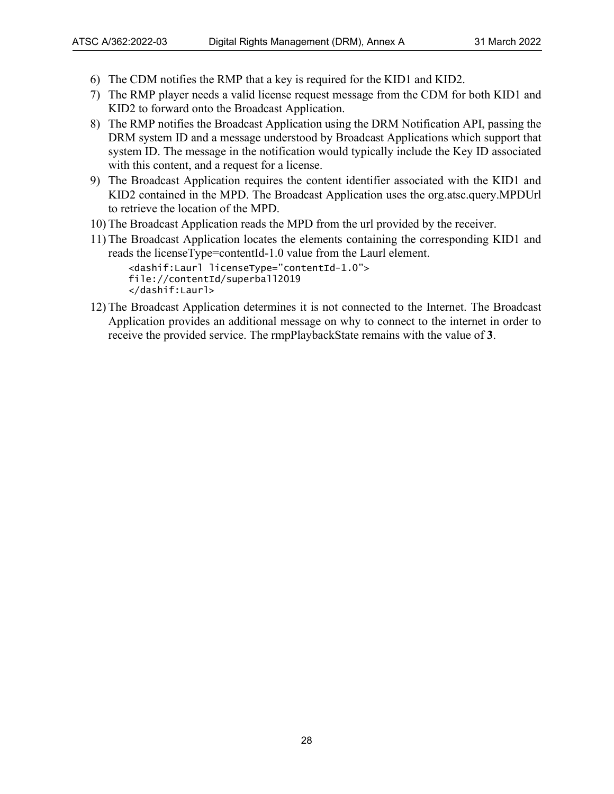- 6) The CDM notifies the RMP that a key is required for the KID1 and KID2.
- 7) The RMP player needs a valid license request message from the CDM for both KID1 and KID2 to forward onto the Broadcast Application.
- 8) The RMP notifies the Broadcast Application using the DRM Notification API, passing the DRM system ID and a message understood by Broadcast Applications which support that system ID. The message in the notification would typically include the Key ID associated with this content, and a request for a license.
- 9) The Broadcast Application requires the content identifier associated with the KID1 and KID2 contained in the MPD. The Broadcast Application uses the org.atsc.query.MPDUrl to retrieve the location of the MPD.
- 10) The Broadcast Application reads the MPD from the url provided by the receiver.
- 11) The Broadcast Application locates the elements containing the corresponding KID1 and reads the licenseType=contentId-1.0 value from the Laurl element.

<dashif:Laurl licenseType="contentId-1.0"> file://contentId/superball2019 </dashif:Laurl>

12) The Broadcast Application determines it is not connected to the Internet. The Broadcast Application provides an additional message on why to connect to the internet in order to receive the provided service. The rmpPlaybackState remains with the value of **3**.